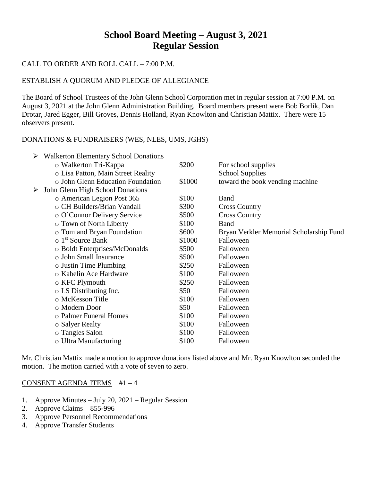# **School Board Meeting – August 3, 2021 Regular Session**

## CALL TO ORDER AND ROLL CALL – 7:00 P.M.

### ESTABLISH A QUORUM AND PLEDGE OF ALLEGIANCE

The Board of School Trustees of the John Glenn School Corporation met in regular session at 7:00 P.M. on August 3, 2021 at the John Glenn Administration Building. Board members present were Bob Borlik, Dan Drotar, Jared Egger, Bill Groves, Dennis Holland, Ryan Knowlton and Christian Mattix. There were 15 observers present.

### DONATIONS & FUNDRAISERS (WES, NLES, UMS, JGHS)

| ➤ | <b>Walkerton Elementary School Donations</b> |        |                                         |
|---|----------------------------------------------|--------|-----------------------------------------|
|   | o Walkerton Tri-Kappa                        | \$200  | For school supplies                     |
|   | o Lisa Patton, Main Street Reality           |        | <b>School Supplies</b>                  |
|   | o John Glenn Education Foundation            | \$1000 | toward the book vending machine         |
| ➤ | John Glenn High School Donations             |        |                                         |
|   | o American Legion Post 365                   | \$100  | Band                                    |
|   | o CH Builders/Brian Vandall                  | \$300  | <b>Cross Country</b>                    |
|   | o O'Connor Delivery Service                  | \$500  | <b>Cross Country</b>                    |
|   | o Town of North Liberty                      | \$100  | Band                                    |
|   | o Tom and Bryan Foundation                   | \$600  | Bryan Verkler Memorial Scholarship Fund |
|   | $\circ$ 1 <sup>st</sup> Source Bank          | \$1000 | Falloween                               |
|   | o Boldt Enterprises/McDonalds                | \$500  | Falloween                               |
|   | o John Small Insurance                       | \$500  | Falloween                               |
|   | $\circ$ Justin Time Plumbing                 | \$250  | Falloween                               |
|   | o Kabelin Ace Hardware                       | \$100  | Falloween                               |
|   | $\circ$ KFC Plymouth                         | \$250  | Falloween                               |
|   | $\circ$ LS Distributing Inc.                 | \$50   | Falloween                               |
|   | ○ McKesson Title                             | \$100  | Falloween                               |
|   | o Modern Door                                | \$50   | Falloween                               |
|   | o Palmer Funeral Homes                       | \$100  | Falloween                               |
|   | ○ Salyer Realty                              | \$100  | Falloween                               |
|   | o Tangles Salon                              | \$100  | Falloween                               |
|   | o Ultra Manufacturing                        | \$100  | Falloween                               |
|   |                                              |        |                                         |

Mr. Christian Mattix made a motion to approve donations listed above and Mr. Ryan Knowlton seconded the motion. The motion carried with a vote of seven to zero.

#### CONSENT AGENDA ITEMS #1 – 4

- 1. Approve Minutes July 20, 2021 Regular Session
- 2. Approve Claims 855-996
- 3. Approve Personnel Recommendations
- 4. Approve Transfer Students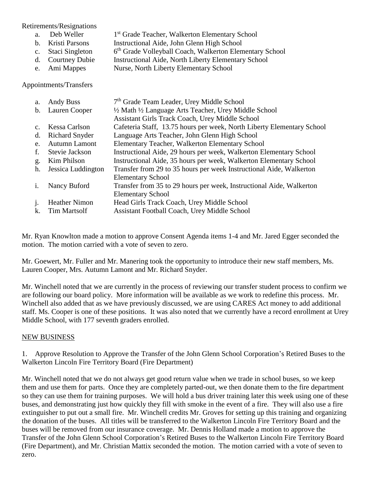Retirements/Resignations

- a. Deb Weller 1<sup>st</sup> Grade Teacher, Walkerton Elementary School
- b. Kristi Parsons Instructional Aide, John Glenn High School
- c. Staci Singleton 6  $6<sup>th</sup>$  Grade Volleyball Coach, Walkerton Elementary School
- d. Courtney Dubie Instructional Aide, North Liberty Elementary School
- e. Ami Mappes Nurse, North Liberty Elementary School

Appointments/Transfers

| a.             | <b>Andy Buss</b>      | 7 <sup>th</sup> Grade Team Leader, Urey Middle School                  |
|----------------|-----------------------|------------------------------------------------------------------------|
| $\mathbf{b}$ . | Lauren Cooper         | 1/2 Math 1/2 Language Arts Teacher, Urey Middle School                 |
|                |                       | Assistant Girls Track Coach, Urey Middle School                        |
| $C_{\cdot}$    | Kessa Carlson         | Cafeteria Staff, 13.75 hours per week, North Liberty Elementary School |
| d.             | <b>Richard Snyder</b> | Language Arts Teacher, John Glenn High School                          |
| e.             | Autumn Lamont         | Elementary Teacher, Walkerton Elementary School                        |
| f.             | Stevie Jackson        | Instructional Aide, 29 hours per week, Walkerton Elementary School     |
| g.             | Kim Philson           | Instructional Aide, 35 hours per week, Walkerton Elementary School     |
| h.             | Jessica Luddington    | Transfer from 29 to 35 hours per week Instructional Aide, Walkerton    |
|                |                       | <b>Elementary School</b>                                               |
| $\mathbf{1}$ . | Nancy Buford          | Transfer from 35 to 29 hours per week, Instructional Aide, Walkerton   |
|                |                       | <b>Elementary School</b>                                               |
| $\mathbf{i}$ . | <b>Heather Nimon</b>  | Head Girls Track Coach, Urey Middle School                             |
| k.             | <b>Tim Martsolf</b>   | Assistant Football Coach, Urey Middle School                           |

Mr. Ryan Knowlton made a motion to approve Consent Agenda items 1-4 and Mr. Jared Egger seconded the motion. The motion carried with a vote of seven to zero.

Mr. Goewert, Mr. Fuller and Mr. Manering took the opportunity to introduce their new staff members, Ms. Lauren Cooper, Mrs. Autumn Lamont and Mr. Richard Snyder.

Mr. Winchell noted that we are currently in the process of reviewing our transfer student process to confirm we are following our board policy. More information will be available as we work to redefine this process. Mr. Winchell also added that as we have previously discussed, we are using CARES Act money to add additional staff. Ms. Cooper is one of these positions. It was also noted that we currently have a record enrollment at Urey Middle School, with 177 seventh graders enrolled.

# NEW BUSINESS

1. Approve Resolution to Approve the Transfer of the John Glenn School Corporation's Retired Buses to the Walkerton Lincoln Fire Territory Board (Fire Department)

Mr. Winchell noted that we do not always get good return value when we trade in school buses, so we keep them and use them for parts. Once they are completely parted-out, we then donate them to the fire department so they can use them for training purposes. We will hold a bus driver training later this week using one of these buses, and demonstrating just how quickly they fill with smoke in the event of a fire. They will also use a fire extinguisher to put out a small fire. Mr. Winchell credits Mr. Groves for setting up this training and organizing the donation of the buses. All titles will be transferred to the Walkerton Lincoln Fire Territory Board and the buses will be removed from our insurance coverage. Mr. Dennis Holland made a motion to approve the Transfer of the John Glenn School Corporation's Retired Buses to the Walkerton Lincoln Fire Territory Board (Fire Department), and Mr. Christian Mattix seconded the motion. The motion carried with a vote of seven to zero.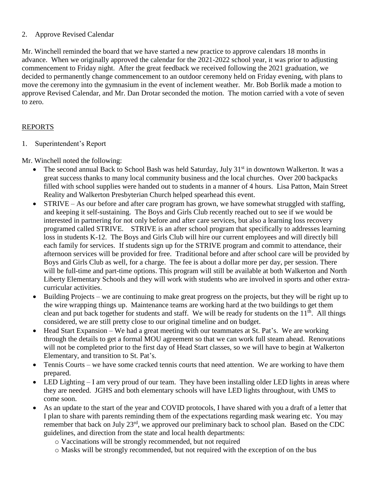## 2. Approve Revised Calendar

Mr. Winchell reminded the board that we have started a new practice to approve calendars 18 months in advance. When we originally approved the calendar for the 2021-2022 school year, it was prior to adjusting commencement to Friday night. After the great feedback we received following the 2021 graduation, we decided to permanently change commencement to an outdoor ceremony held on Friday evening, with plans to move the ceremony into the gymnasium in the event of inclement weather. Mr. Bob Borlik made a motion to approve Revised Calendar, and Mr. Dan Drotar seconded the motion. The motion carried with a vote of seven to zero.

# REPORTS

1. Superintendent's Report

Mr. Winchell noted the following:

- The second annual Back to School Bash was held Saturday, July  $31<sup>st</sup>$  in downtown Walkerton. It was a great success thanks to many local community business and the local churches. Over 200 backpacks filled with school supplies were handed out to students in a manner of 4 hours. Lisa Patton, Main Street Reality and Walkerton Presbyterian Church helped spearhead this event.
- STRIVE As our before and after care program has grown, we have somewhat struggled with staffing, and keeping it self-sustaining. The Boys and Girls Club recently reached out to see if we would be interested in partnering for not only before and after care services, but also a learning loss recovery programed called STRIVE. STRIVE is an after school program that specifically to addresses learning loss in students K-12. The Boys and Girls Club will hire our current employees and will directly bill each family for services. If students sign up for the STRIVE program and commit to attendance, their afternoon services will be provided for free. Traditional before and after school care will be provided by Boys and Girls Club as well, for a charge. The fee is about a dollar more per day, per session. There will be full-time and part-time options. This program will still be available at both Walkerton and North Liberty Elementary Schools and they will work with students who are involved in sports and other extracurricular activities.
- Building Projects we are continuing to make great progress on the projects, but they will be right up to the wire wrapping things up. Maintenance teams are working hard at the two buildings to get them clean and put back together for students and staff. We will be ready for students on the  $11<sup>th</sup>$ . All things considered, we are still pretty close to our original timeline and on budget.
- Head Start Expansion We had a great meeting with our teammates at St. Pat's. We are working through the details to get a formal MOU agreement so that we can work full steam ahead. Renovations will not be completed prior to the first day of Head Start classes, so we will have to begin at Walkerton Elementary, and transition to St. Pat's.
- Tennis Courts we have some cracked tennis courts that need attention. We are working to have them prepared.
- LED Lighting I am very proud of our team. They have been installing older LED lights in areas where they are needed. JGHS and both elementary schools will have LED lights throughout, with UMS to come soon.
- As an update to the start of the year and COVID protocols, I have shared with you a draft of a letter that I plan to share with parents reminding them of the expectations regarding mask wearing etc. You may remember that back on July 23rd, we approved our preliminary back to school plan. Based on the CDC guidelines, and direction from the state and local health departments:
	- o Vaccinations will be strongly recommended, but not required
	- o Masks will be strongly recommended, but not required with the exception of on the bus